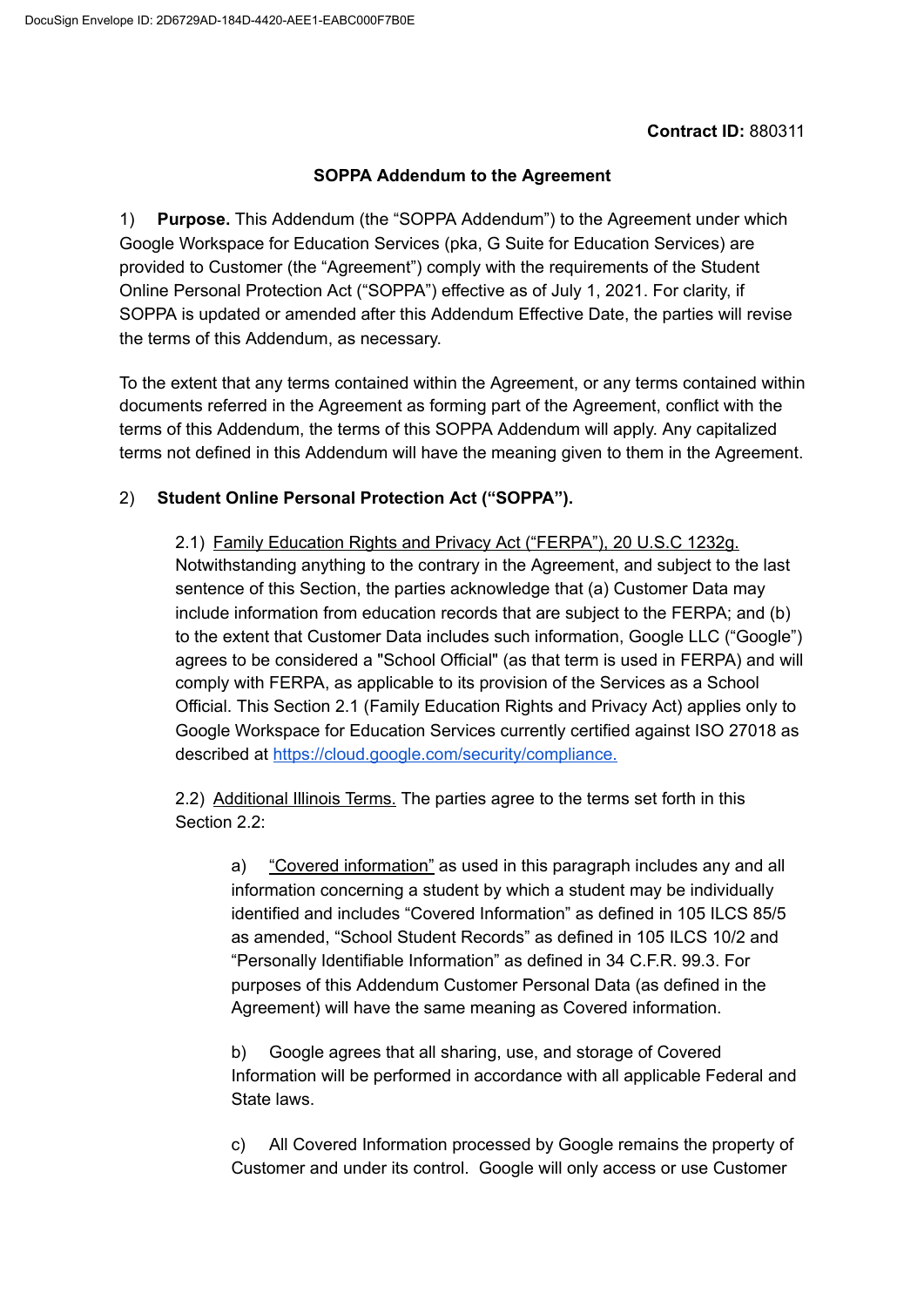## **SOPPA Addendum to the Agreement**

1) **Purpose.** This Addendum (the "SOPPA Addendum") to the Agreement under which Google Workspace for Education Services (pka, G Suite for Education Services) are provided to Customer (the "Agreement") comply with the requirements of the Student Online Personal Protection Act ("SOPPA") effective as of July 1, 2021. For clarity, if SOPPA is updated or amended after this Addendum Effective Date, the parties will revise the terms of this Addendum, as necessary.

To the extent that any terms contained within the Agreement, or any terms contained within documents referred in the Agreement as forming part of the Agreement, conflict with the terms of this Addendum, the terms of this SOPPA Addendum will apply. Any capitalized terms not defined in this Addendum will have the meaning given to them in the Agreement.

## 2) **Student Online Personal Protection Act ("SOPPA").**

2.1) Family Education Rights and Privacy Act ("FERPA"), 20 U.S.C 1232g. Notwithstanding anything to the contrary in the Agreement, and subject to the last sentence of this Section, the parties acknowledge that (a) Customer Data may include information from education records that are subject to the FERPA; and (b) to the extent that Customer Data includes such information, Google LLC ("Google") agrees to be considered a "School Official" (as that term is used in FERPA) and will comply with FERPA, as applicable to its provision of the Services as a School Official. This Section 2.1 (Family Education Rights and Privacy Act) applies only to Google Workspace for Education Services currently certified against ISO 27018 as described at [https://cloud.google.com/security/compliance.](https://cloud.google.com/security/compliance)

2.2) Additional Illinois Terms. The parties agree to the terms set forth in this Section 2.2:

a) "Covered information" as used in this paragraph includes any and all information concerning a student by which a student may be individually identified and includes "Covered Information" as defined in 105 ILCS 85/5 as amended, "School Student Records" as defined in 105 ILCS 10/2 and "Personally Identifiable Information" as defined in 34 C.F.R. 99.3. For purposes of this Addendum Customer Personal Data (as defined in the Agreement) will have the same meaning as Covered information.

b) Google agrees that all sharing, use, and storage of Covered Information will be performed in accordance with all applicable Federal and State laws.

c) All Covered Information processed by Google remains the property of Customer and under its control. Google will only access or use Customer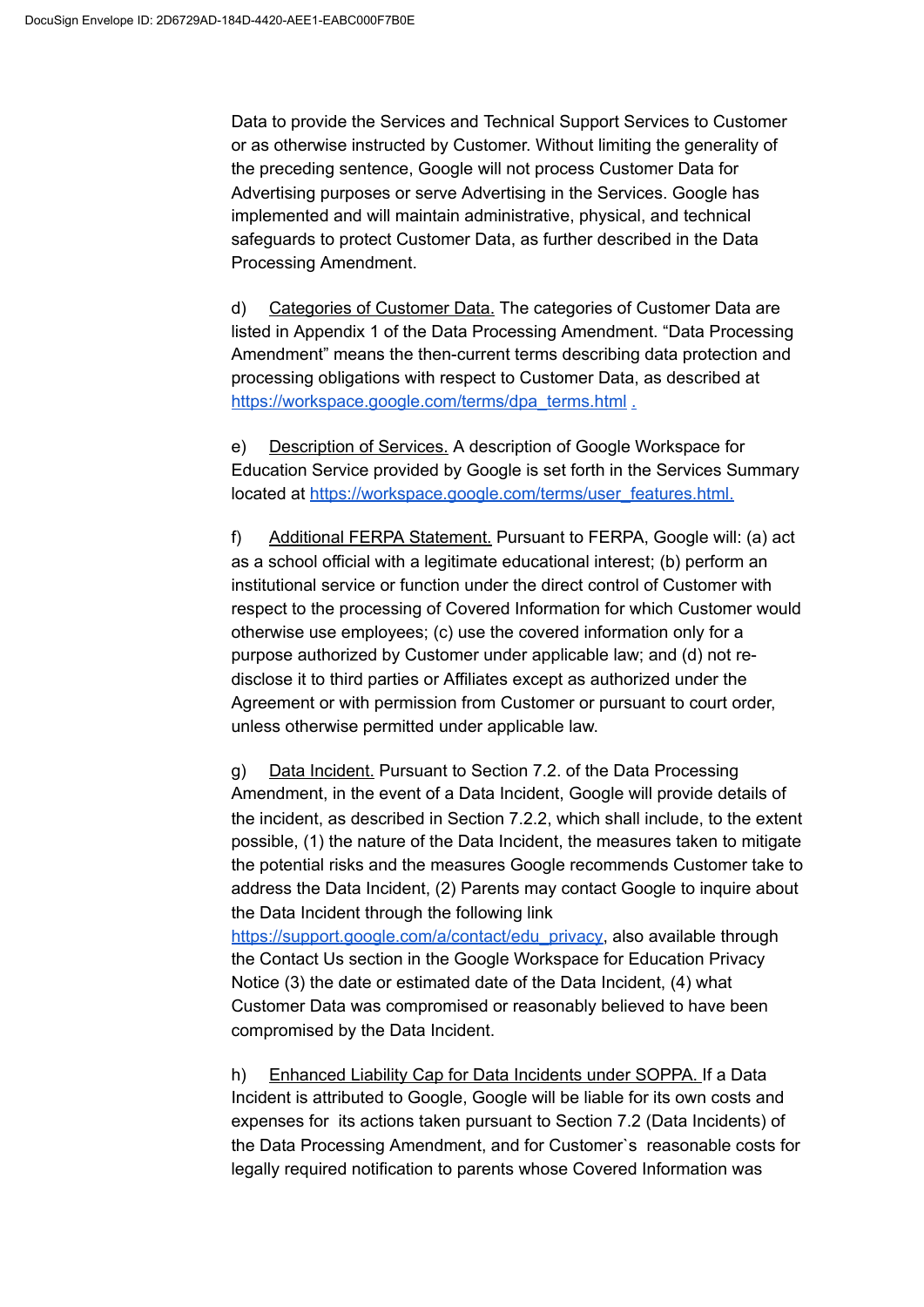Data to provide the Services and Technical Support Services to Customer or as otherwise instructed by Customer. Without limiting the generality of the preceding sentence, Google will not process Customer Data for Advertising purposes or serve Advertising in the Services. Google has implemented and will maintain administrative, physical, and technical safeguards to protect Customer Data, as further described in the Data Processing Amendment.

d) Categories of Customer Data. The categories of Customer Data are listed in Appendix 1 of the Data Processing Amendment. "Data Processing Amendment" means the then-current terms describing data protection and processing obligations with respect to Customer Data, as described at [https://workspace.google.com/terms/dpa\\_terms.html](https://workspace.google.com/terms/dpa_terms.html) [.](https://gsuite.google.com/terms/dpa_terms.html)

e) Description of Services. A description of Google Workspace for Education Service provided by Google is set forth in the Services Summary located at [https://workspace.google.com/terms/user\\_features.html.](https://workspace.google.com/terms/user_features.html)

f) Additional FERPA Statement. Pursuant to FERPA, Google will: (a) act as a school official with a legitimate educational interest; (b) perform an institutional service or function under the direct control of Customer with respect to the processing of Covered Information for which Customer would otherwise use employees; (c) use the covered information only for a purpose authorized by Customer under applicable law; and (d) not redisclose it to third parties or Affiliates except as authorized under the Agreement or with permission from Customer or pursuant to court order, unless otherwise permitted under applicable law.

g) Data Incident. Pursuant to Section 7.2. of the Data Processing Amendment, in the event of a Data Incident, Google will provide details of the incident, as described in Section 7.2.2, which shall include, to the extent possible, (1) the nature of the Data Incident, the measures taken to mitigate the potential risks and the measures Google recommends Customer take to address the Data Incident, (2) Parents may contact Google to inquire about the Data Incident through the following link

[https://support.google.com/a/contact/edu\\_privacy](https://support.google.com/a/contact/edu_privacy), also available through the Contact Us section in the Google Workspace for Education Privacy Notice (3) the date or estimated date of the Data Incident, (4) what Customer Data was compromised or reasonably believed to have been compromised by the Data Incident.

h) Enhanced Liability Cap for Data Incidents under SOPPA. If a Data Incident is attributed to Google, Google will be liable for its own costs and expenses for its actions taken pursuant to Section 7.2 (Data Incidents) of the Data Processing Amendment, and for Customer`s reasonable costs for legally required notification to parents whose Covered Information was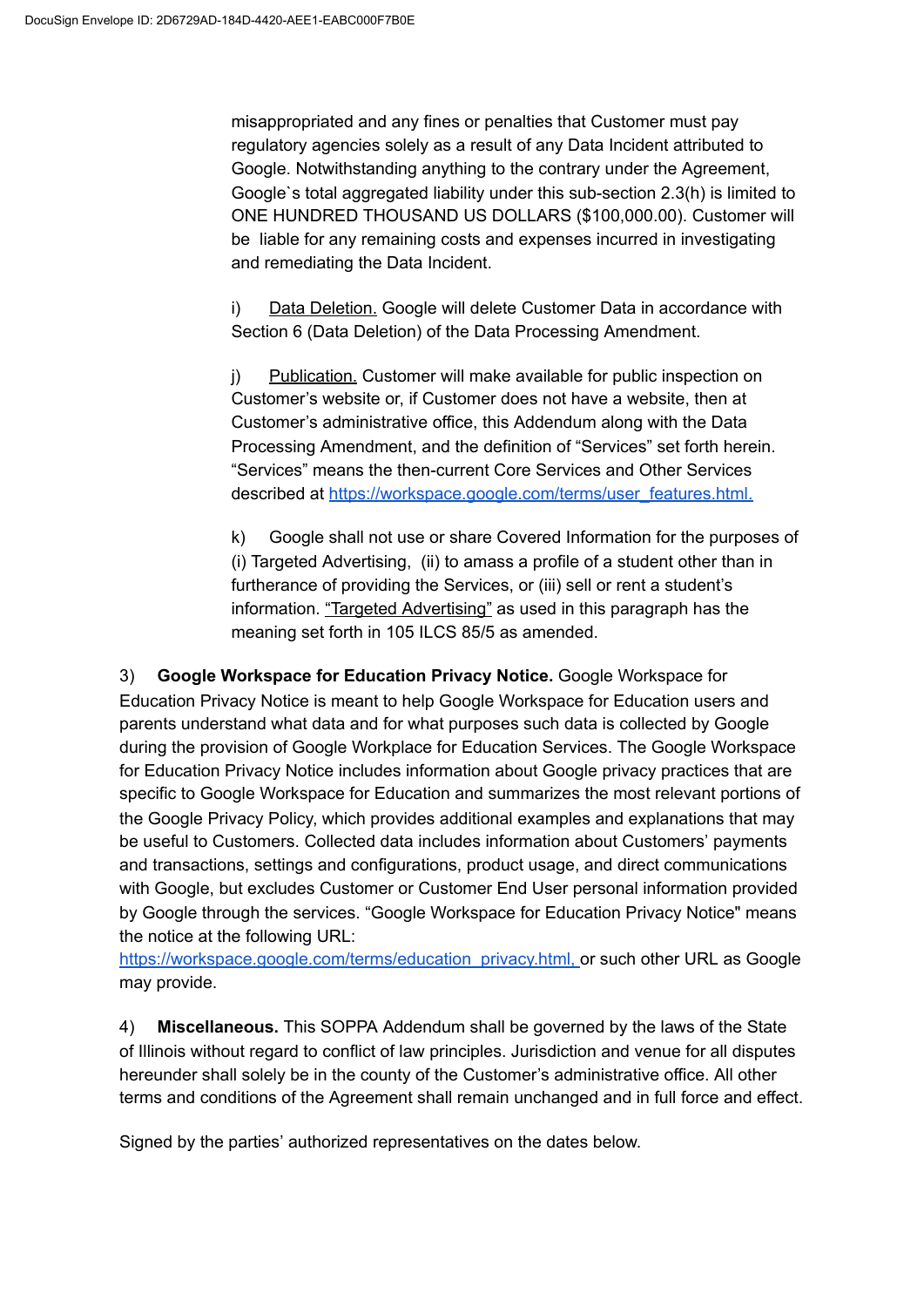misappropriated and any fines or penalties that Customer must pay regulatory agencies solely as a result of any Data Incident attributed to Google. Notwithstanding anything to the contrary under the Agreement, Google`s total aggregated liability under this sub-section 2.3(h) is limited to ONE HUNDRED THOUSAND US DOLLARS (\$100,000.00). Customer will be liable for any remaining costs and expenses incurred in investigating and remediating the Data Incident.

i) Data Deletion. Google will delete Customer Data in accordance with Section 6 (Data Deletion) of the Data Processing Amendment.

j) Publication. Customer will make available for public inspection on Customer's website or, if Customer does not have a website, then at Customer's administrative office, this Addendum along with the Data Processing Amendment, and the definition of "Services" set forth herein. "Services" means the then-current Core Services and Other Services described at [https://workspace.google.com/terms/user\\_features.html.](https://workspace.google.com/terms/user_features.html)

k) Google shall not use or share Covered Information for the purposes of (i) Targeted Advertising, (ii) to amass a profile of a student other than in furtherance of providing the Services, or (iii) sell or rent a student's information. "Targeted Advertising" as used in this paragraph has the meaning set forth in 105 ILCS 85/5 as amended.

3) **Google Workspace for Education Privacy Notice.** Google Workspace for Education Privacy Notice is meant to help Google Workspace for Education users and parents understand what data and for what purposes such data is collected by Google during the provision of Google Workplace for Education Services. The Google Workspace for Education Privacy Notice includes information about Google privacy practices that are specific to Google Workspace for Education and summarizes the most relevant portions of the Google Privacy Policy, which provides additional examples and explanations that may be useful to Customers. Collected data includes information about Customers' payments and transactions, settings and configurations, product usage, and direct communications with Google, but excludes Customer or Customer End User personal information provided by Google through the services. "Google Workspace for Education Privacy Notice" means the notice at the following URL:

[https://workspace.google.com/terms/education\\_privacy.html](https://workspace.google.com/terms/education_privacy.html)[,](https://workspace.google.com/terms/education_privacy.htmll) or such other URL as Google may provide.

4) **Miscellaneous.** This SOPPA Addendum shall be governed by the laws of the State of Illinois without regard to conflict of law principles. Jurisdiction and venue for all disputes hereunder shall solely be in the county of the Customer's administrative office. All other terms and conditions of the Agreement shall remain unchanged and in full force and effect.

Signed by the parties' authorized representatives on the dates below.